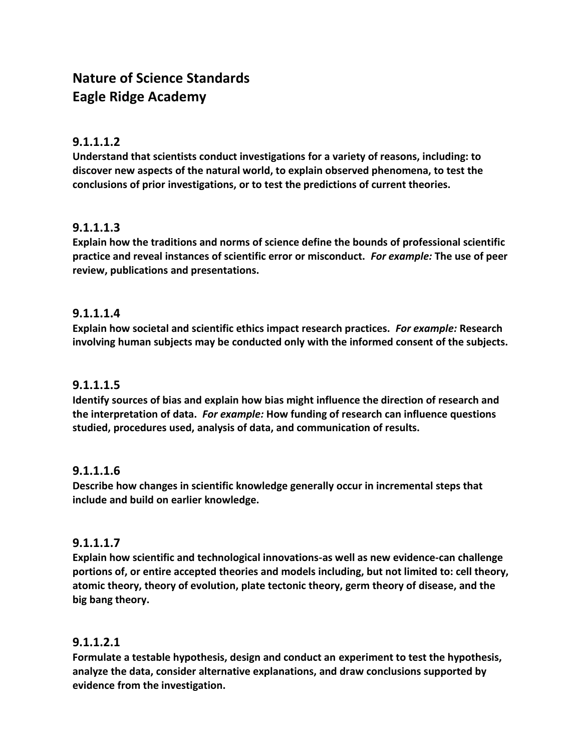# **Nature of Science Standards Eagle Ridge Academy**

#### **9.1.1.1.2**

**Understand that scientists conduct investigations for a variety of reasons, including: to discover new aspects of the natural world, to explain observed phenomena, to test the conclusions of prior investigations, or to test the predictions of current theories.**

# **9.1.1.1.3**

**Explain how the traditions and norms of science define the bounds of professional scientific practice and reveal instances of scientific error or misconduct.** *For example:* **The use of peer review, publications and presentations.**

#### **9.1.1.1.4**

**Explain how societal and scientific ethics impact research practices.** *For example:* **Research involving human subjects may be conducted only with the informed consent of the subjects.**

# **9.1.1.1.5**

**Identify sources of bias and explain how bias might influence the direction of research and the interpretation of data.** *For example:* **How funding of research can influence questions studied, procedures used, analysis of data, and communication of results.**

#### **9.1.1.1.6**

**Describe how changes in scientific knowledge generally occur in incremental steps that include and build on earlier knowledge.**

#### **9.1.1.1.7**

**Explain how scientific and technological innovations-as well as new evidence-can challenge portions of, or entire accepted theories and models including, but not limited to: cell theory, atomic theory, theory of evolution, plate tectonic theory, germ theory of disease, and the big bang theory.**

#### **9.1.1.2.1**

**Formulate a testable hypothesis, design and conduct an experiment to test the hypothesis, analyze the data, consider alternative explanations, and draw conclusions supported by evidence from the investigation.**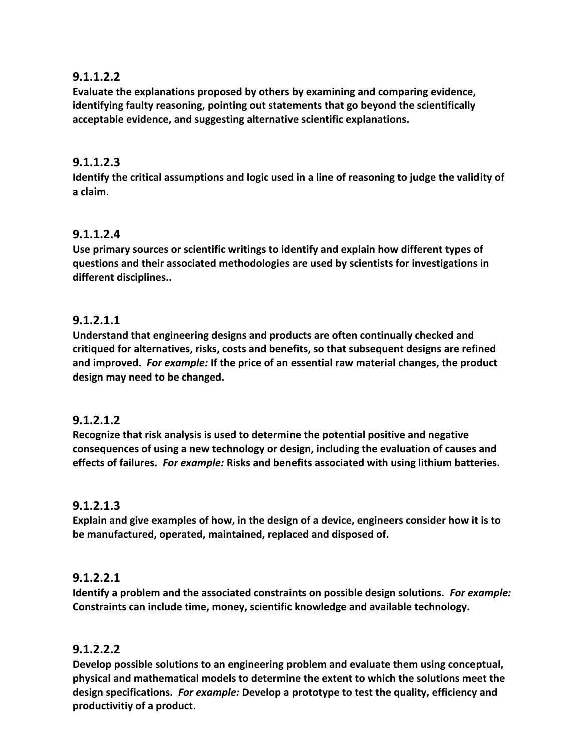# **9.1.1.2.2**

**Evaluate the explanations proposed by others by examining and comparing evidence, identifying faulty reasoning, pointing out statements that go beyond the scientifically acceptable evidence, and suggesting alternative scientific explanations.**

# **9.1.1.2.3**

**Identify the critical assumptions and logic used in a line of reasoning to judge the validity of a claim.**

# **9.1.1.2.4**

**Use primary sources or scientific writings to identify and explain how different types of questions and their associated methodologies are used by scientists for investigations in different disciplines..**

# **9.1.2.1.1**

**Understand that engineering designs and products are often continually checked and critiqued for alternatives, risks, costs and benefits, so that subsequent designs are refined and improved.** *For example:* **If the price of an essential raw material changes, the product design may need to be changed.**

# **9.1.2.1.2**

**Recognize that risk analysis is used to determine the potential positive and negative consequences of using a new technology or design, including the evaluation of causes and effects of failures.** *For example:* **Risks and benefits associated with using lithium batteries.** 

# **9.1.2.1.3**

**Explain and give examples of how, in the design of a device, engineers consider how it is to be manufactured, operated, maintained, replaced and disposed of.**

# **9.1.2.2.1**

**Identify a problem and the associated constraints on possible design solutions.** *For example:*  **Constraints can include time, money, scientific knowledge and available technology.**

# **9.1.2.2.2**

**Develop possible solutions to an engineering problem and evaluate them using conceptual, physical and mathematical models to determine the extent to which the solutions meet the design specifications.** *For example:* **Develop a prototype to test the quality, efficiency and productivitiy of a product.**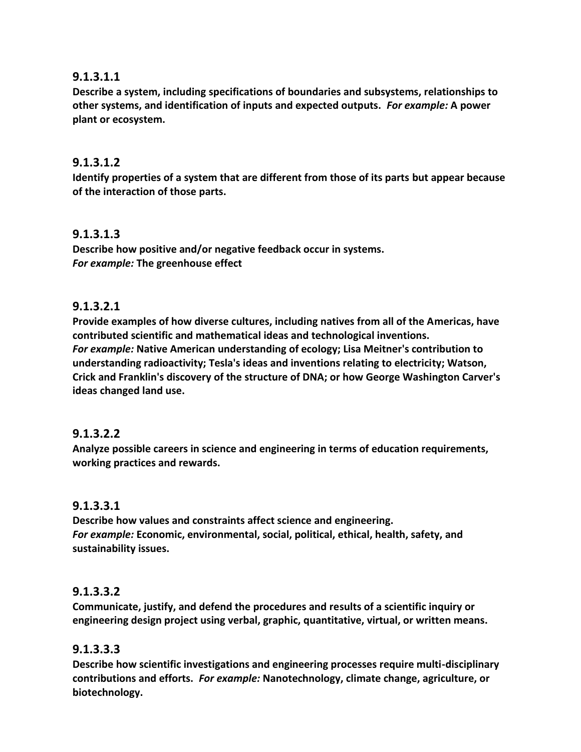# **9.1.3.1.1**

**Describe a system, including specifications of boundaries and subsystems, relationships to other systems, and identification of inputs and expected outputs.** *For example:* **A power plant or ecosystem.**

# **9.1.3.1.2**

**Identify properties of a system that are different from those of its parts but appear because of the interaction of those parts.**

#### **9.1.3.1.3**

**Describe how positive and/or negative feedback occur in systems.** *For example:* **The greenhouse effect**

# **9.1.3.2.1**

**Provide examples of how diverse cultures, including natives from all of the Americas, have contributed scientific and mathematical ideas and technological inventions.**  *For example:* **Native American understanding of ecology; Lisa Meitner's contribution to understanding radioactivity; Tesla's ideas and inventions relating to electricity; Watson, Crick and Franklin's discovery of the structure of DNA; or how George Washington Carver's ideas changed land use.**

# **9.1.3.2.2**

**Analyze possible careers in science and engineering in terms of education requirements, working practices and rewards.**

#### **9.1.3.3.1**

**Describe how values and constraints affect science and engineering.** *For example:* **Economic, environmental, social, political, ethical, health, safety, and sustainability issues.**

#### **9.1.3.3.2**

**Communicate, justify, and defend the procedures and results of a scientific inquiry or engineering design project using verbal, graphic, quantitative, virtual, or written means.**

#### **9.1.3.3.3**

**Describe how scientific investigations and engineering processes require multi-disciplinary contributions and efforts.** *For example:* **Nanotechnology, climate change, agriculture, or biotechnology.**